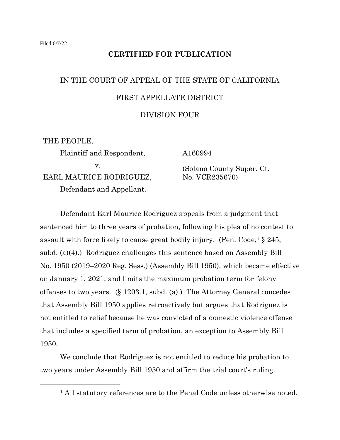# **CERTIFIED FOR PUBLICATION**

# IN THE COURT OF APPEAL OF THE STATE OF CALIFORNIA FIRST APPELLATE DISTRICT

## DIVISION FOUR

THE PEOPLE,

Plaintiff and Respondent, v. EARL MAURICE RODRIGUEZ, Defendant and Appellant.

A160994

(Solano County Super. Ct. No. VCR235670)

Defendant Earl Maurice Rodriguez appeals from a judgment that sentenced him to three years of probation, following his plea of no contest to assault with force likely to cause great bodily injury. (Pen.  $Code<sub>1</sub> \S 245$ , subd. (a)(4).) Rodriguez challenges this sentence based on Assembly Bill No. 1950 (2019–2020 Reg. Sess.) (Assembly Bill 1950), which became effective on January 1, 2021, and limits the maximum probation term for felony offenses to two years. (§ 1203.1, subd. (a).) The Attorney General concedes that Assembly Bill 1950 applies retroactively but argues that Rodriguez is not entitled to relief because he was convicted of a domestic violence offense that includes a specified term of probation, an exception to Assembly Bill 1950.

We conclude that Rodriguez is not entitled to reduce his probation to two years under Assembly Bill 1950 and affirm the trial court's ruling.

<sup>&</sup>lt;sup>1</sup> All statutory references are to the Penal Code unless otherwise noted.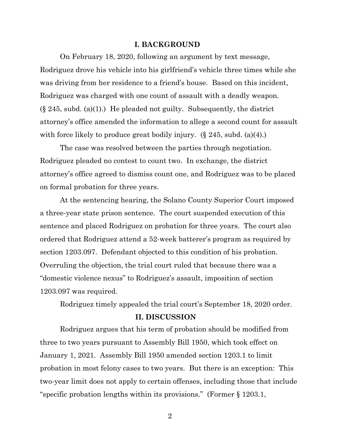#### **I. BACKGROUND**

On February 18, 2020, following an argument by text message, Rodriguez drove his vehicle into his girlfriend's vehicle three times while she was driving from her residence to a friend's house. Based on this incident, Rodriguez was charged with one count of assault with a deadly weapon.  $(\S 245, \text{subd.} (a)(1))$  He pleaded not guilty. Subsequently, the district attorney's office amended the information to allege a second count for assault with force likely to produce great bodily injury.  $(\S 245, \text{subd.} (4))$ .

The case was resolved between the parties through negotiation. Rodriguez pleaded no contest to count two. In exchange, the district attorney's office agreed to dismiss count one, and Rodriguez was to be placed on formal probation for three years.

At the sentencing hearing, the Solano County Superior Court imposed a three-year state prison sentence. The court suspended execution of this sentence and placed Rodriguez on probation for three years. The court also ordered that Rodriguez attend a 52-week batterer's program as required by section 1203.097. Defendant objected to this condition of his probation. Overruling the objection, the trial court ruled that because there was a "domestic violence nexus" to Rodriguez's assault, imposition of section 1203.097 was required.

Rodriguez timely appealed the trial court's September 18, 2020 order.

#### **II. DISCUSSION**

Rodriguez argues that his term of probation should be modified from three to two years pursuant to Assembly Bill 1950, which took effect on January 1, 2021. Assembly Bill 1950 amended section 1203.1 to limit probation in most felony cases to two years. But there is an exception: This two-year limit does not apply to certain offenses, including those that include "specific probation lengths within its provisions." (Former § 1203.1,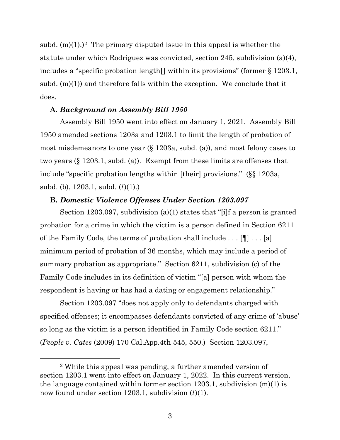subd.  $(m)(1)$ <sup>2</sup> The primary disputed issue in this appeal is whether the statute under which Rodriguez was convicted, section 245, subdivision (a)(4), includes a "specific probation length[] within its provisions" (former § 1203.1, subd.  $(m)(1)$  and therefore falls within the exception. We conclude that it does.

## **A.** *Background on Assembly Bill 1950*

Assembly Bill 1950 went into effect on January 1, 2021. Assembly Bill 1950 amended sections 1203a and 1203.1 to limit the length of probation of most misdemeanors to one year (§ 1203a, subd. (a)), and most felony cases to two years (§ 1203.1, subd. (a)). Exempt from these limits are offenses that include "specific probation lengths within [their] provisions." (§§ 1203a, subd. (b), 1203.1, subd. (*l*)(1).)

## **B.** *Domestic Violence Offenses Under Section 1203.097*

Section 1203.097, subdivision (a)(1) states that "[i]f a person is granted probation for a crime in which the victim is a person defined in Section 6211 of the Family Code, the terms of probation shall include . . . [¶] . . . [a] minimum period of probation of 36 months, which may include a period of summary probation as appropriate." Section 6211, subdivision (c) of the Family Code includes in its definition of victim "[a] person with whom the respondent is having or has had a dating or engagement relationship."

Section 1203.097 "does not apply only to defendants charged with specified offenses; it encompasses defendants convicted of any crime of 'abuse' so long as the victim is a person identified in Family Code section 6211." (*People v. Cates* (2009) 170 Cal.App.4th 545, 550.) Section 1203.097,

<sup>2</sup> While this appeal was pending, a further amended version of section 1203.1 went into effect on January 1, 2022. In this current version, the language contained within former section 1203.1, subdivision (m)(1) is now found under section 1203.1, subdivision (*l*)(1).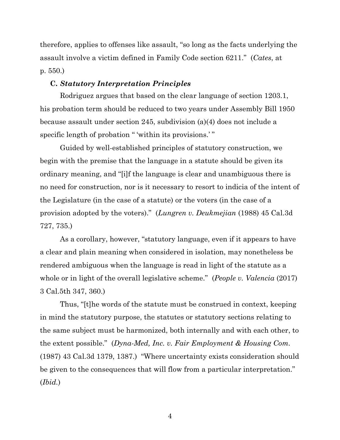therefore, applies to offenses like assault, "so long as the facts underlying the assault involve a victim defined in Family Code section 6211." (*Cates*, at p. 550.)

#### **C.** *Statutory Interpretation Principles*

Rodriguez argues that based on the clear language of section 1203.1, his probation term should be reduced to two years under Assembly Bill 1950 because assault under section 245, subdivision (a)(4) does not include a specific length of probation " 'within its provisions.' "

Guided by well-established principles of statutory construction, we begin with the premise that the language in a statute should be given its ordinary meaning, and "[i]f the language is clear and unambiguous there is no need for construction, nor is it necessary to resort to indicia of the intent of the Legislature (in the case of a statute) or the voters (in the case of a provision adopted by the voters)." (*Lungren v. Deukmejian* (1988) 45 Cal.3d 727, 735.)

As a corollary, however, "statutory language, even if it appears to have a clear and plain meaning when considered in isolation, may nonetheless be rendered ambiguous when the language is read in light of the statute as a whole or in light of the overall legislative scheme." (*People v. Valencia* (2017) 3 Cal.5th 347, 360.)

Thus, "[t]he words of the statute must be construed in context, keeping in mind the statutory purpose, the statutes or statutory sections relating to the same subject must be harmonized, both internally and with each other, to the extent possible." (*Dyna-Med, Inc. v. Fair Employment & Housing Com.* (1987) 43 Cal.3d 1379, 1387.) "Where uncertainty exists consideration should be given to the consequences that will flow from a particular interpretation." (*Ibid.*)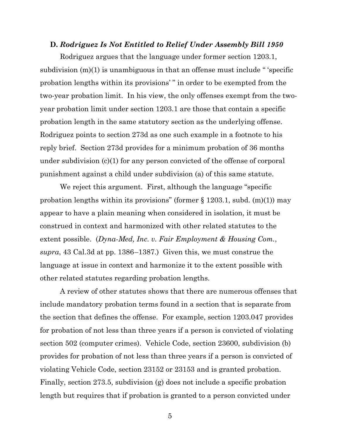#### **D.** *Rodriguez Is Not Entitled to Relief Under Assembly Bill 1950*

Rodriguez argues that the language under former section 1203.1, subdivision  $(m)(1)$  is unambiguous in that an offense must include "specific probation lengths within its provisions' " in order to be exempted from the two-year probation limit. In his view, the only offenses exempt from the twoyear probation limit under section 1203.1 are those that contain a specific probation length in the same statutory section as the underlying offense. Rodriguez points to section 273d as one such example in a footnote to his reply brief. Section 273d provides for a minimum probation of 36 months under subdivision (c)(1) for any person convicted of the offense of corporal punishment against a child under subdivision (a) of this same statute.

We reject this argument. First, although the language "specific probation lengths within its provisions" (former  $\S 1203.1$ , subd. (m)(1)) may appear to have a plain meaning when considered in isolation, it must be construed in context and harmonized with other related statutes to the extent possible. (*Dyna-Med, Inc. v. Fair Employment & Housing Com.*, *supra*, 43 Cal.3d at pp. 1386–1387.) Given this, we must construe the language at issue in context and harmonize it to the extent possible with other related statutes regarding probation lengths.

A review of other statutes shows that there are numerous offenses that include mandatory probation terms found in a section that is separate from the section that defines the offense. For example, section 1203.047 provides for probation of not less than three years if a person is convicted of violating section 502 (computer crimes). Vehicle Code, section 23600, subdivision (b) provides for probation of not less than three years if a person is convicted of violating Vehicle Code, section 23152 or 23153 and is granted probation. Finally, section 273.5, subdivision (g) does not include a specific probation length but requires that if probation is granted to a person convicted under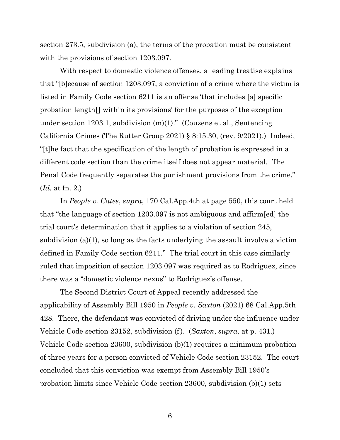section 273.5, subdivision (a), the terms of the probation must be consistent with the provisions of section 1203.097.

With respect to domestic violence offenses, a leading treatise explains that "[b]ecause of section 1203.097, a conviction of a crime where the victim is listed in Family Code section 6211 is an offense 'that includes [a] specific probation length[] within its provisions' for the purposes of the exception under section 1203.1, subdivision (m)(1)." (Couzens et al., Sentencing California Crimes (The Rutter Group 2021) § 8:15.30, (rev. 9/2021).) Indeed, "[t]he fact that the specification of the length of probation is expressed in a different code section than the crime itself does not appear material. The Penal Code frequently separates the punishment provisions from the crime." (*Id.* at fn. 2.)

In *People v. Cates*, *supra*, 170 Cal.App.4th at page 550, this court held that "the language of section 1203.097 is not ambiguous and affirm[ed] the trial court's determination that it applies to a violation of section 245, subdivision (a)(1), so long as the facts underlying the assault involve a victim defined in Family Code section 6211." The trial court in this case similarly ruled that imposition of section 1203.097 was required as to Rodriguez, since there was a "domestic violence nexus" to Rodriguez's offense.

The Second District Court of Appeal recently addressed the applicability of Assembly Bill 1950 in *People v. Saxton* (2021) 68 Cal.App.5th 428. There, the defendant was convicted of driving under the influence under Vehicle Code section 23152, subdivision (f). (*Saxton*, *supra*, at p. 431.) Vehicle Code section 23600, subdivision (b)(1) requires a minimum probation of three years for a person convicted of Vehicle Code section 23152. The court concluded that this conviction was exempt from Assembly Bill 1950's probation limits since Vehicle Code section 23600, subdivision (b)(1) sets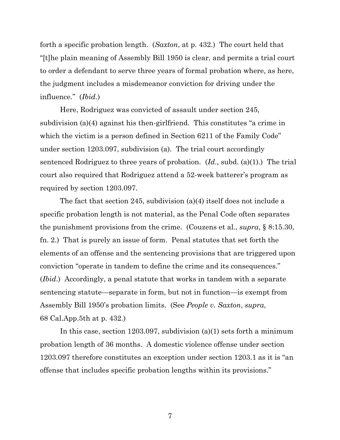forth a specific probation length. (*Saxton*, at p. 432.) The court held that "[t]he plain meaning of Assembly Bill 1950 is clear, and permits a trial court to order a defendant to serve three years of formal probation where, as here, the judgment includes a misdemeanor conviction for driving under the influence." (*Ibid.*)

Here, Rodriguez was convicted of assault under section 245, subdivision (a)(4) against his then-girlfriend. This constitutes "a crime in which the victim is a person defined in Section 6211 of the Family Code" under section 1203.097, subdivision (a). The trial court accordingly sentenced Rodriguez to three years of probation. (*Id*., subd. (a)(1).) The trial court also required that Rodriguez attend a 52-week batterer's program as required by section 1203.097.

The fact that section 245, subdivision (a)(4) itself does not include a specific probation length is not material, as the Penal Code often separates the punishment provisions from the crime. (Couzens et al., *supra*, § 8:15.30, fn. 2.) That is purely an issue of form. Penal statutes that set forth the elements of an offense and the sentencing provisions that are triggered upon conviction "operate in tandem to define the crime and its consequences." (*Ibid*.) Accordingly, a penal statute that works in tandem with a separate sentencing statute—separate in form, but not in function—is exempt from Assembly Bill 1950's probation limits. (See *People v. Saxton*, *supra*, 68 Cal.App.5th at p. 432.)

In this case, section 1203.097, subdivision (a)(1) sets forth a minimum probation length of 36 months. A domestic violence offense under section 1203.097 therefore constitutes an exception under section 1203.1 as it is "an offense that includes specific probation lengths within its provisions."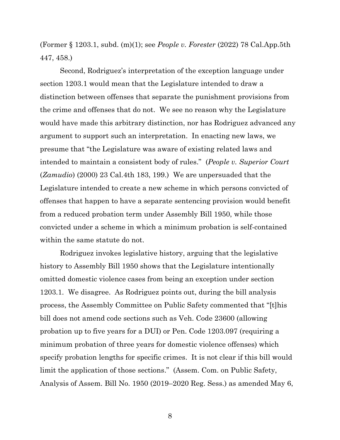(Former § 1203.1, subd. (m)(1); see *People v. Forester* (2022) 78 Cal.App.5th 447, 458.)

Second, Rodriguez's interpretation of the exception language under section 1203.1 would mean that the Legislature intended to draw a distinction between offenses that separate the punishment provisions from the crime and offenses that do not. We see no reason why the Legislature would have made this arbitrary distinction, nor has Rodriguez advanced any argument to support such an interpretation. In enacting new laws, we presume that "the Legislature was aware of existing related laws and intended to maintain a consistent body of rules." (*People v. Superior Court* (*Zamudio*) (2000) 23 Cal.4th 183, 199.) We are unpersuaded that the Legislature intended to create a new scheme in which persons convicted of offenses that happen to have a separate sentencing provision would benefit from a reduced probation term under Assembly Bill 1950, while those convicted under a scheme in which a minimum probation is self-contained within the same statute do not.

Rodriguez invokes legislative history, arguing that the legislative history to Assembly Bill 1950 shows that the Legislature intentionally omitted domestic violence cases from being an exception under section 1203.1. We disagree. As Rodriguez points out, during the bill analysis process, the Assembly Committee on Public Safety commented that "[t]his bill does not amend code sections such as Veh. Code 23600 (allowing probation up to five years for a DUI) or Pen. Code 1203.097 (requiring a minimum probation of three years for domestic violence offenses) which specify probation lengths for specific crimes. It is not clear if this bill would limit the application of those sections." (Assem. Com. on Public Safety, Analysis of Assem. Bill No. 1950 (2019–2020 Reg. Sess.) as amended May 6,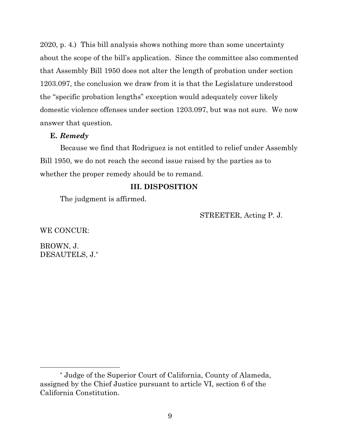2020, p. 4.) This bill analysis shows nothing more than some uncertainty about the scope of the bill's application. Since the committee also commented that Assembly Bill 1950 does not alter the length of probation under section 1203.097, the conclusion we draw from it is that the Legislature understood the "specific probation lengths" exception would adequately cover likely domestic violence offenses under section 1203.097, but was not sure. We now answer that question.

## **E.** *Remedy*

Because we find that Rodriguez is not entitled to relief under Assembly Bill 1950, we do not reach the second issue raised by the parties as to whether the proper remedy should be to remand.

## **III. DISPOSITION**

The judgment is affirmed.

STREETER, Acting P. J.

WE CONCUR:

BROWN, J. DESAUTELS, J.\*

<sup>\*</sup> Judge of the Superior Court of California, County of Alameda, assigned by the Chief Justice pursuant to article VI, section 6 of the California Constitution.